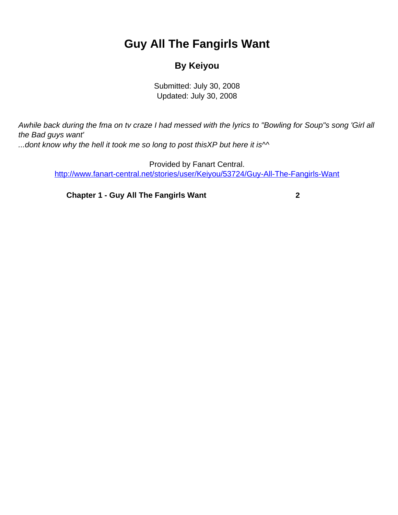## **Guy All The Fangirls Want**

## **By Keiyou**

Submitted: July 30, 2008 Updated: July 30, 2008

<span id="page-0-0"></span>Awhile back during the fma on tv craze I had messed with the lyrics to "Bowling for Soup"s song 'Girl all the Bad guys want' ...dont know why the hell it took me so long to post this XP but here it is  $\sim$ 

Provided by Fanart Central. [http://www.fanart-central.net/stories/user/Keiyou/53724/Guy-All-The-Fangirls-Want](#page-0-0)

**[Chapter 1 - Guy All The Fangirls Want](#page-1-0)** [2](#page-1-0)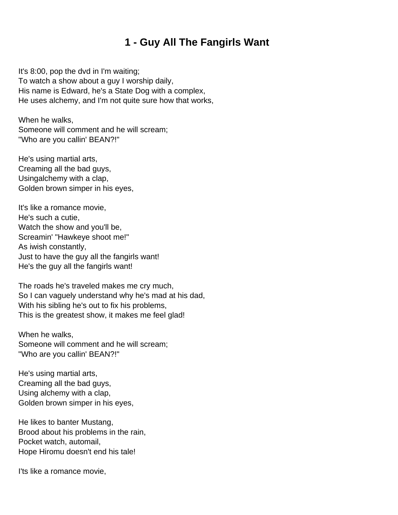## **1 - Guy All The Fangirls Want**

<span id="page-1-0"></span>It's 8:00, pop the dvd in I'm waiting; To watch a show about a guy I worship daily, His name is Edward, he's a State Dog with a complex, He uses alchemy, and I'm not quite sure how that works,

When he walks, Someone will comment and he will scream; "Who are you callin' BEAN?!"

He's using martial arts, Creaming all the bad guys, Usingalchemy with a clap, Golden brown simper in his eyes,

It's like a romance movie, He's such a cutie, Watch the show and you'll be, Screamin' "Hawkeye shoot me!" As iwish constantly, Just to have the guy all the fangirls want! He's the guy all the fangirls want!

The roads he's traveled makes me cry much, So I can vaguely understand why he's mad at his dad, With his sibling he's out to fix his problems, This is the greatest show, it makes me feel glad!

When he walks, Someone will comment and he will scream; "Who are you callin' BEAN?!"

He's using martial arts, Creaming all the bad guys, Using alchemy with a clap, Golden brown simper in his eyes,

He likes to banter Mustang, Brood about his problems in the rain, Pocket watch, automail, Hope Hiromu doesn't end his tale!

I'ts like a romance movie,